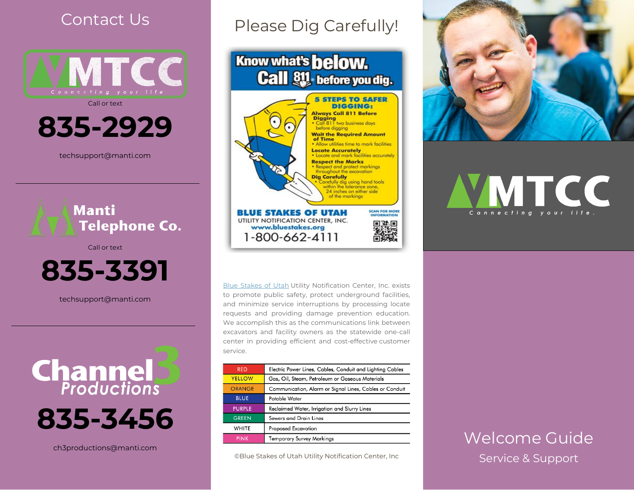## Contact Us



Call or text

**835-2929**

techsupport@manti.com



Call or text



techsupport@manti.com



ch3productions@manti.com

# Please Dig Carefully!





Blue [Stakes](http://www.bluestakes.org/) of Utah Utility Notification Center, Inc. exists to promote public safety, protect underground facilities, and minimize service interruptions by processing locate requests and providing damage prevention education. We accomplish this as the communications link between excavators and facility owners as the statewide one-call center in providing efficient and cost-effective customer service.

| <b>RFD</b>    | Electric Power Lines, Cables, Conduit and Lighting Cables |
|---------------|-----------------------------------------------------------|
| <b>YELLOW</b> | Gas, Oil, Steam, Petroleum or Gaseous Materials           |
| <b>ORANGE</b> | Communication, Alarm or Signal Lines, Cables or Conduit   |
| <b>BLUE</b>   | Potable Water                                             |
| <b>PURPLE</b> | Reclaimed Water, Irrigation and Slurry Lines              |
| <b>GREEN</b>  | Sewers and Drain Lines                                    |
| WHITE         | <b>Proposed Excavation</b>                                |
| <b>PINK</b>   | Temporary Survey Markings                                 |

©Blue Stakes of Utah Utility Notification Center, Inc



# VMTCC **vour**

## Welcome Guide Service & Support